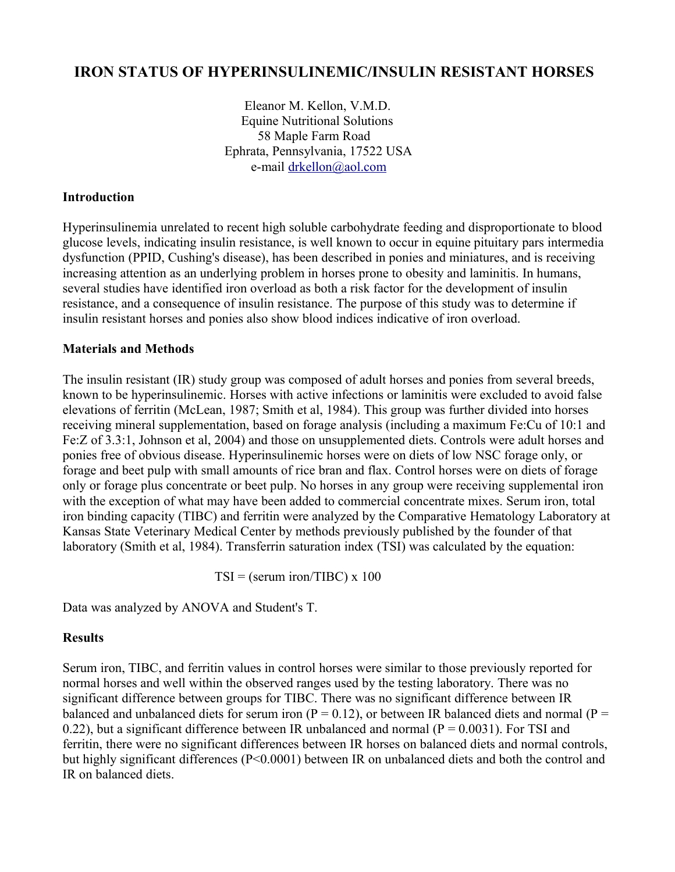# **IRON STATUS OF HYPERINSULINEMIC/INSULIN RESISTANT HORSES**

 Eleanor M. Kellon, V.M.D. Equine Nutritional Solutions 58 Maple Farm Road Ephrata, Pennsylvania, 17522 USA e-mail [drkellon@aol.com](mailto:drkellon@aol.com) 

## **Introduction**

Hyperinsulinemia unrelated to recent high soluble carbohydrate feeding and disproportionate to blood glucose levels, indicating insulin resistance, is well known to occur in equine pituitary pars intermedia dysfunction (PPID, Cushing's disease), has been described in ponies and miniatures, and is receiving increasing attention as an underlying problem in horses prone to obesity and laminitis. In humans, several studies have identified iron overload as both a risk factor for the development of insulin resistance, and a consequence of insulin resistance. The purpose of this study was to determine if insulin resistant horses and ponies also show blood indices indicative of iron overload.

## **Materials and Methods**

The insulin resistant (IR) study group was composed of adult horses and ponies from several breeds, known to be hyperinsulinemic. Horses with active infections or laminitis were excluded to avoid false elevations of ferritin (McLean, 1987; Smith et al, 1984). This group was further divided into horses receiving mineral supplementation, based on forage analysis (including a maximum Fe:Cu of 10:1 and Fe:Z of 3.3:1, Johnson et al, 2004) and those on unsupplemented diets. Controls were adult horses and ponies free of obvious disease. Hyperinsulinemic horses were on diets of low NSC forage only, or forage and beet pulp with small amounts of rice bran and flax. Control horses were on diets of forage only or forage plus concentrate or beet pulp. No horses in any group were receiving supplemental iron with the exception of what may have been added to commercial concentrate mixes. Serum iron, total iron binding capacity (TIBC) and ferritin were analyzed by the Comparative Hematology Laboratory at Kansas State Veterinary Medical Center by methods previously published by the founder of that laboratory (Smith et al, 1984). Transferrin saturation index (TSI) was calculated by the equation:

 $TSI = (serum iron/TIBC) \times 100$ 

Data was analyzed by ANOVA and Student's T.

# **Results**

Serum iron, TIBC, and ferritin values in control horses were similar to those previously reported for normal horses and well within the observed ranges used by the testing laboratory. There was no significant difference between groups for TIBC. There was no significant difference between IR balanced and unbalanced diets for serum iron ( $P = 0.12$ ), or between IR balanced diets and normal ( $P =$ 0.22), but a significant difference between IR unbalanced and normal ( $P = 0.0031$ ). For TSI and ferritin, there were no significant differences between IR horses on balanced diets and normal controls, but highly significant differences (P<0.0001) between IR on unbalanced diets and both the control and IR on balanced diets.